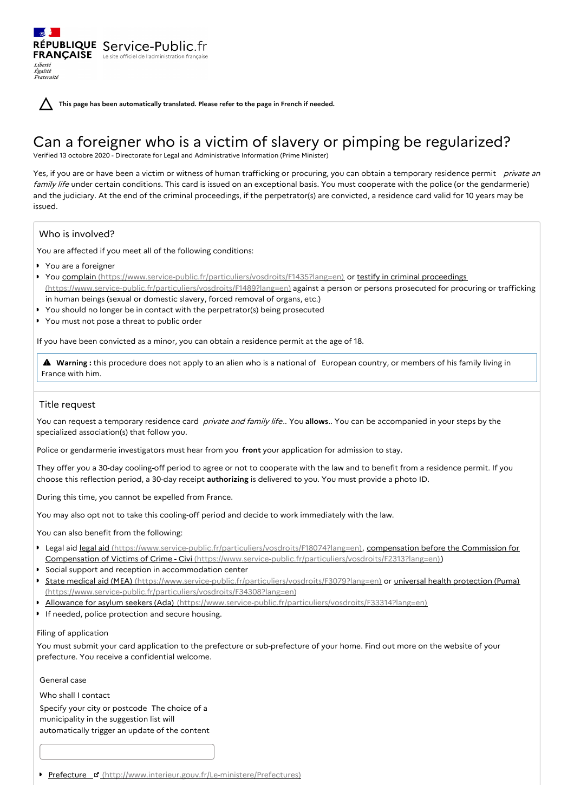**This page has been automatically translated. Please refer to the page in French if needed.**

# Can a foreigner who is a victim of slavery or pimping be regularized?

Verified 13 octobre 2020 - Directorate for Legal and Administrative Information (Prime Minister)

Yes, if you are or have been a victim or witness of human trafficking or procuring, you can obtain a temporary residence permit private an family life under certain conditions. This card is issued on an exceptional basis. You must cooperate with the police (or the gendarmerie) and the judiciary. At the end of the criminal proceedings, if the perpetrator(s) are convicted, a residence card valid for 10 years may be issued.

# Who is involved?

Liberté Égalité Fraternité

You are affected if you meet all of the following conditions:

- You are a foreigner
- ▶ You complain [\(https://www.service-public.fr/particuliers/vosdroits/F1435?lang=en\)](https://www.service-public.fr/particuliers/vosdroits/F1435?lang=en) or testify in criminal proceedings (https://www.service-public.fr/particuliers/vosdroits/F1489?lang=en) against a person or persons prosecuted for procuring or trafficking in human beings (sexual or domestic slavery, forced removal of organs, etc.)
- You should no longer be in contact with the perpetrator(s) being prosecuted
- ▶ You must not pose a threat to public order

RÉPUBLIQUE Service-Public.fr **FRANÇAISE** Le site officiel de l'administration fran

If you have been convicted as a minor, you can obtain a residence permit at the age of 18.

 **Warning :** this procedure does not apply to an alien who is <sup>a</sup> national of European country, or members of his family living in France with him.

## Title request

You can request a temporary residence card private and family life.. You **allows**.. You can be accompanied in your steps by the specialized association(s) that follow you.

Police or gendarmerie investigators must hear from you **front** your application for admission to stay.

They offer you a 30-day cooling-off period to agree or not to cooperate with the law and to benefit from a residence permit. If you choose this reflection period, a 30-day receipt **authorizing** is delivered to you. You must provide a photo ID.

During this time, you cannot be expelled from France.

You may also opt not to take this cooling-off period and decide to work immediately with the law.

You can also benefit from the following:

- **Legal aid legal aid [\(https://www.service-public.fr/particuliers/vosdroits/F18074?lang=en\)](https://www.service-public.fr/particuliers/vosdroits/F18074?lang=en)[,](https://www.service-public.fr/particuliers/vosdroits/F2313?lang=en) compensation before the Commission for** Compensation of Victims of Crime - Civi (https://www.service-public.fr/particuliers/vosdroits/F2313?lang=en))
- Social support and reception in accommodation center
- **State medical aid (MEA)** [\(https://www.service-public.fr/particuliers/vosdroits/F3079?lang=en\)](https://www.service-public.fr/particuliers/vosdroits/F3079?lang=en) or universal health protection (Puma) [\(https://www.service-public.fr/particuliers/vosdroits/F34308?lang=en\)](https://www.service-public.fr/particuliers/vosdroits/F34308?lang=en)
- **Allowance for asylum seekers (Ada)** [\(https://www.service-public.fr/particuliers/vosdroits/F33314?lang=en\)](https://www.service-public.fr/particuliers/vosdroits/F33314?lang=en)
- **If needed, police protection and secure housing.**

#### Filing of application

You must submit your card application to the prefecture or sub-prefecture of your home. Find out more on the website of your prefecture. You receive a confidential welcome.

General case

Who shall I contact Specify your city or postcode The choice of a municipality in the suggestion list will automatically trigger an update of the content

Prefecture [\(http://www.interieur.gouv.fr/Le-ministere/Prefectures\)](http://www.interieur.gouv.fr/Le-ministere/Prefectures)